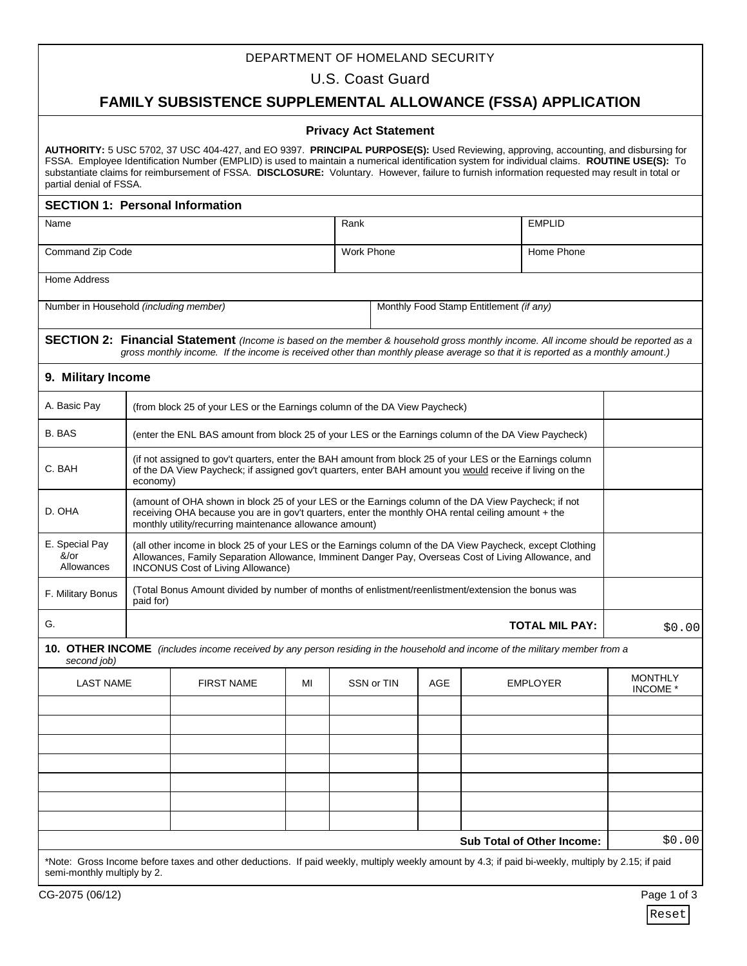## DEPARTMENT OF HOMELAND SECURITY

U.S. Coast Guard

# **FAMILY SUBSISTENCE SUPPLEMENTAL ALLOWANCE (FSSA) APPLICATION**

### **Privacy Act Statement**

| partial denial of FSSA.                |                                                                                                                                                                                                                                                                      |                                                                                                     |                   |            |                                         | AUTHORITY: 5 USC 5702, 37 USC 404-427, and EO 9397. PRINCIPAL PURPOSE(S): Used Reviewing, approving, accounting, and disbursing for<br>FSSA. Employee Identification Number (EMPLID) is used to maintain a numerical identification system for individual claims. ROUTINE USE(S): To<br>substantiate claims for reimbursement of FSSA. DISCLOSURE: Voluntary. However, failure to furnish information requested may result in total or |                     |  |  |
|----------------------------------------|----------------------------------------------------------------------------------------------------------------------------------------------------------------------------------------------------------------------------------------------------------------------|-----------------------------------------------------------------------------------------------------|-------------------|------------|-----------------------------------------|----------------------------------------------------------------------------------------------------------------------------------------------------------------------------------------------------------------------------------------------------------------------------------------------------------------------------------------------------------------------------------------------------------------------------------------|---------------------|--|--|
| <b>SECTION 1: Personal Information</b> |                                                                                                                                                                                                                                                                      |                                                                                                     |                   |            |                                         |                                                                                                                                                                                                                                                                                                                                                                                                                                        |                     |  |  |
| Name                                   |                                                                                                                                                                                                                                                                      |                                                                                                     |                   | Rank       |                                         | <b>EMPLID</b>                                                                                                                                                                                                                                                                                                                                                                                                                          |                     |  |  |
| Command Zip Code                       |                                                                                                                                                                                                                                                                      |                                                                                                     | <b>Work Phone</b> |            | Home Phone                              |                                                                                                                                                                                                                                                                                                                                                                                                                                        |                     |  |  |
| <b>Home Address</b>                    |                                                                                                                                                                                                                                                                      |                                                                                                     |                   |            |                                         |                                                                                                                                                                                                                                                                                                                                                                                                                                        |                     |  |  |
| Number in Household (including member) |                                                                                                                                                                                                                                                                      |                                                                                                     |                   |            | Monthly Food Stamp Entitlement (if any) |                                                                                                                                                                                                                                                                                                                                                                                                                                        |                     |  |  |
|                                        |                                                                                                                                                                                                                                                                      |                                                                                                     |                   |            |                                         | SECTION 2: Financial Statement (Income is based on the member & household gross monthly income. All income should be reported as a<br>gross monthly income. If the income is received other than monthly please average so that it is reported as a monthly amount.)                                                                                                                                                                   |                     |  |  |
| 9. Military Income                     |                                                                                                                                                                                                                                                                      |                                                                                                     |                   |            |                                         |                                                                                                                                                                                                                                                                                                                                                                                                                                        |                     |  |  |
| A. Basic Pay                           |                                                                                                                                                                                                                                                                      | (from block 25 of your LES or the Earnings column of the DA View Paycheck)                          |                   |            |                                         |                                                                                                                                                                                                                                                                                                                                                                                                                                        |                     |  |  |
| <b>B. BAS</b>                          |                                                                                                                                                                                                                                                                      | (enter the ENL BAS amount from block 25 of your LES or the Earnings column of the DA View Paycheck) |                   |            |                                         |                                                                                                                                                                                                                                                                                                                                                                                                                                        |                     |  |  |
| C. BAH                                 | (if not assigned to gov't quarters, enter the BAH amount from block 25 of your LES or the Earnings column<br>of the DA View Paycheck; if assigned gov't quarters, enter BAH amount you would receive if living on the<br>economy)                                    |                                                                                                     |                   |            |                                         |                                                                                                                                                                                                                                                                                                                                                                                                                                        |                     |  |  |
| D. OHA                                 | (amount of OHA shown in block 25 of your LES or the Earnings column of the DA View Paycheck; if not<br>receiving OHA because you are in gov't quarters, enter the monthly OHA rental ceiling amount + the<br>monthly utility/recurring maintenance allowance amount) |                                                                                                     |                   |            |                                         |                                                                                                                                                                                                                                                                                                                                                                                                                                        |                     |  |  |
| E. Special Pay<br>&/or<br>Allowances   | (all other income in block 25 of your LES or the Earnings column of the DA View Paycheck, except Clothing<br>Allowances, Family Separation Allowance, Imminent Danger Pay, Overseas Cost of Living Allowance, and<br><b>INCONUS Cost of Living Allowance)</b>        |                                                                                                     |                   |            |                                         |                                                                                                                                                                                                                                                                                                                                                                                                                                        |                     |  |  |
| F. Military Bonus                      | (Total Bonus Amount divided by number of months of enlistment/reenlistment/extension the bonus was<br>paid for)                                                                                                                                                      |                                                                                                     |                   |            |                                         |                                                                                                                                                                                                                                                                                                                                                                                                                                        |                     |  |  |
| G.                                     | <b>TOTAL MIL PAY:</b>                                                                                                                                                                                                                                                |                                                                                                     |                   |            |                                         |                                                                                                                                                                                                                                                                                                                                                                                                                                        | \$0.00              |  |  |
| second job)                            |                                                                                                                                                                                                                                                                      |                                                                                                     |                   |            |                                         | 10. OTHER INCOME (includes income received by any person residing in the household and income of the military member from a                                                                                                                                                                                                                                                                                                            |                     |  |  |
| <b>LAST NAME</b>                       |                                                                                                                                                                                                                                                                      | <b>FIRST NAME</b>                                                                                   | МI                | SSN or TIN | AGE                                     | <b>EMPLOYER</b>                                                                                                                                                                                                                                                                                                                                                                                                                        | MONTHLY<br>INCOME * |  |  |
|                                        |                                                                                                                                                                                                                                                                      |                                                                                                     |                   |            |                                         |                                                                                                                                                                                                                                                                                                                                                                                                                                        |                     |  |  |
|                                        |                                                                                                                                                                                                                                                                      |                                                                                                     |                   |            |                                         |                                                                                                                                                                                                                                                                                                                                                                                                                                        |                     |  |  |
|                                        |                                                                                                                                                                                                                                                                      |                                                                                                     |                   |            |                                         |                                                                                                                                                                                                                                                                                                                                                                                                                                        |                     |  |  |
|                                        |                                                                                                                                                                                                                                                                      |                                                                                                     |                   |            |                                         |                                                                                                                                                                                                                                                                                                                                                                                                                                        |                     |  |  |
|                                        |                                                                                                                                                                                                                                                                      |                                                                                                     |                   |            |                                         |                                                                                                                                                                                                                                                                                                                                                                                                                                        |                     |  |  |
|                                        |                                                                                                                                                                                                                                                                      |                                                                                                     |                   |            |                                         |                                                                                                                                                                                                                                                                                                                                                                                                                                        |                     |  |  |
|                                        |                                                                                                                                                                                                                                                                      |                                                                                                     |                   |            |                                         | Sub Total of Other Income:                                                                                                                                                                                                                                                                                                                                                                                                             | \$0.00              |  |  |
| semi-monthly multiply by 2.            |                                                                                                                                                                                                                                                                      |                                                                                                     |                   |            |                                         | *Note: Gross Income before taxes and other deductions. If paid weekly, multiply weekly amount by 4.3; if paid bi-weekly, multiply by 2.15; if paid                                                                                                                                                                                                                                                                                     |                     |  |  |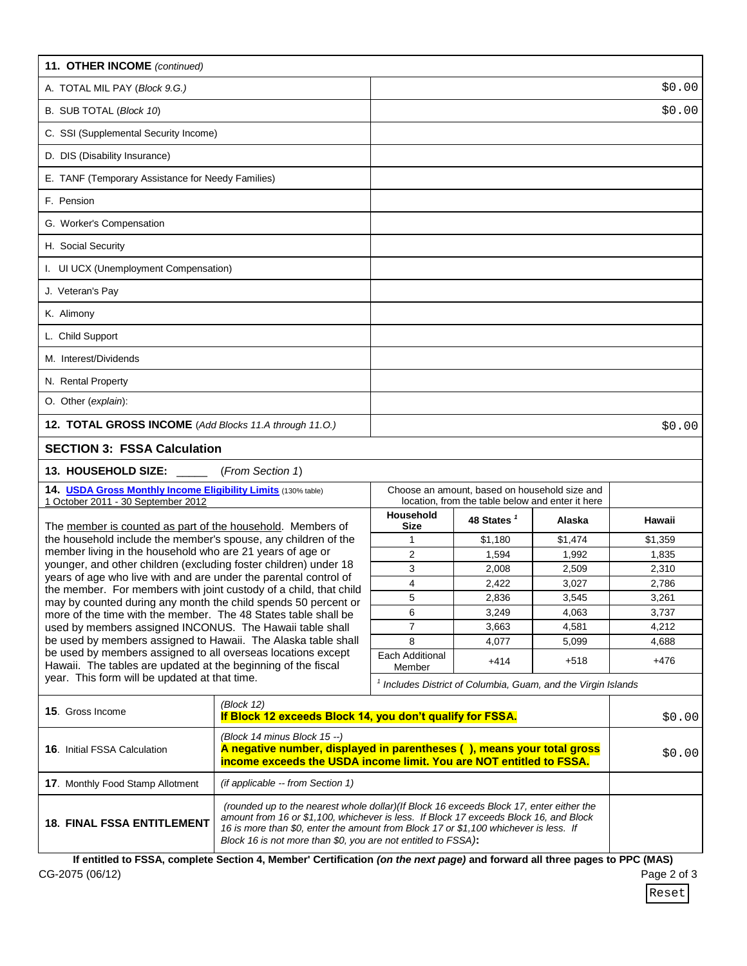| 11. OTHER INCOME (continued)                                                                                                                                                                                                                                                                                                                                                                                                                                                                                 |                                                                                                                                                         |                                                                          |                                                                            |         |         |  |  |
|--------------------------------------------------------------------------------------------------------------------------------------------------------------------------------------------------------------------------------------------------------------------------------------------------------------------------------------------------------------------------------------------------------------------------------------------------------------------------------------------------------------|---------------------------------------------------------------------------------------------------------------------------------------------------------|--------------------------------------------------------------------------|----------------------------------------------------------------------------|---------|---------|--|--|
| A. TOTAL MIL PAY (Block 9.G.)                                                                                                                                                                                                                                                                                                                                                                                                                                                                                |                                                                                                                                                         |                                                                          |                                                                            |         | \$0.00  |  |  |
| B. SUB TOTAL (Block 10)                                                                                                                                                                                                                                                                                                                                                                                                                                                                                      |                                                                                                                                                         |                                                                          |                                                                            |         | \$0.00  |  |  |
| C. SSI (Supplemental Security Income)                                                                                                                                                                                                                                                                                                                                                                                                                                                                        |                                                                                                                                                         |                                                                          |                                                                            |         |         |  |  |
| D. DIS (Disability Insurance)                                                                                                                                                                                                                                                                                                                                                                                                                                                                                |                                                                                                                                                         |                                                                          |                                                                            |         |         |  |  |
| E. TANF (Temporary Assistance for Needy Families)                                                                                                                                                                                                                                                                                                                                                                                                                                                            |                                                                                                                                                         |                                                                          |                                                                            |         |         |  |  |
| F. Pension                                                                                                                                                                                                                                                                                                                                                                                                                                                                                                   |                                                                                                                                                         |                                                                          |                                                                            |         |         |  |  |
| G. Worker's Compensation                                                                                                                                                                                                                                                                                                                                                                                                                                                                                     |                                                                                                                                                         |                                                                          |                                                                            |         |         |  |  |
| H. Social Security                                                                                                                                                                                                                                                                                                                                                                                                                                                                                           |                                                                                                                                                         |                                                                          |                                                                            |         |         |  |  |
| I. UI UCX (Unemployment Compensation)                                                                                                                                                                                                                                                                                                                                                                                                                                                                        |                                                                                                                                                         |                                                                          |                                                                            |         |         |  |  |
| J. Veteran's Pay                                                                                                                                                                                                                                                                                                                                                                                                                                                                                             |                                                                                                                                                         |                                                                          |                                                                            |         |         |  |  |
| K. Alimony                                                                                                                                                                                                                                                                                                                                                                                                                                                                                                   |                                                                                                                                                         |                                                                          |                                                                            |         |         |  |  |
| L. Child Support                                                                                                                                                                                                                                                                                                                                                                                                                                                                                             |                                                                                                                                                         |                                                                          |                                                                            |         |         |  |  |
| M. Interest/Dividends                                                                                                                                                                                                                                                                                                                                                                                                                                                                                        |                                                                                                                                                         |                                                                          |                                                                            |         |         |  |  |
| N. Rental Property                                                                                                                                                                                                                                                                                                                                                                                                                                                                                           |                                                                                                                                                         |                                                                          |                                                                            |         |         |  |  |
| O. Other (explain):                                                                                                                                                                                                                                                                                                                                                                                                                                                                                          |                                                                                                                                                         |                                                                          |                                                                            |         |         |  |  |
| 12. TOTAL GROSS INCOME (Add Blocks 11.A through 11.0.)                                                                                                                                                                                                                                                                                                                                                                                                                                                       |                                                                                                                                                         |                                                                          |                                                                            |         | \$0.00  |  |  |
| <b>SECTION 3: FSSA Calculation</b>                                                                                                                                                                                                                                                                                                                                                                                                                                                                           |                                                                                                                                                         |                                                                          |                                                                            |         |         |  |  |
| 13. HOUSEHOLD SIZE:                                                                                                                                                                                                                                                                                                                                                                                                                                                                                          | (From Section 1)                                                                                                                                        |                                                                          |                                                                            |         |         |  |  |
| 14. USDA Gross Monthly Income Eligibility Limits (130% table)                                                                                                                                                                                                                                                                                                                                                                                                                                                |                                                                                                                                                         |                                                                          | Choose an amount, based on household size and                              |         |         |  |  |
| 1 October 2011 - 30 September 2012                                                                                                                                                                                                                                                                                                                                                                                                                                                                           |                                                                                                                                                         | Household                                                                | location, from the table below and enter it here<br>48 States <sup>1</sup> | Alaska  | Hawaii  |  |  |
| The member is counted as part of the household. Members of<br>the household include the member's spouse, any children of the                                                                                                                                                                                                                                                                                                                                                                                 |                                                                                                                                                         | Size<br>1                                                                | \$1,180                                                                    | \$1,474 | \$1,359 |  |  |
| member living in the household who are 21 years of age or                                                                                                                                                                                                                                                                                                                                                                                                                                                    |                                                                                                                                                         | $\overline{2}$                                                           | 1,594                                                                      | 1,992   | 1,835   |  |  |
| younger, and other children (excluding foster children) under 18                                                                                                                                                                                                                                                                                                                                                                                                                                             |                                                                                                                                                         | 3                                                                        | 2,008                                                                      | 2,509   | 2,310   |  |  |
| years of age who live with and are under the parental control of<br>the member. For members with joint custody of a child, that child                                                                                                                                                                                                                                                                                                                                                                        |                                                                                                                                                         | 4                                                                        | 2,422                                                                      | 3,027   | 2,786   |  |  |
| may by counted during any month the child spends 50 percent or                                                                                                                                                                                                                                                                                                                                                                                                                                               |                                                                                                                                                         | 5                                                                        | 2,836                                                                      | 3,545   | 3,261   |  |  |
| more of the time with the member. The 48 States table shall be                                                                                                                                                                                                                                                                                                                                                                                                                                               |                                                                                                                                                         | 6                                                                        | 3,249                                                                      | 4,063   | 3,737   |  |  |
| used by members assigned INCONUS. The Hawaii table shall                                                                                                                                                                                                                                                                                                                                                                                                                                                     |                                                                                                                                                         | 7                                                                        | 3.663                                                                      | 4,581   | 4,212   |  |  |
| be used by members assigned to Hawaii. The Alaska table shall<br>be used by members assigned to all overseas locations except                                                                                                                                                                                                                                                                                                                                                                                |                                                                                                                                                         | 8                                                                        | 4,077                                                                      | 5,099   | 4,688   |  |  |
| Hawaii. The tables are updated at the beginning of the fiscal                                                                                                                                                                                                                                                                                                                                                                                                                                                |                                                                                                                                                         | Each Additional<br>Member                                                | $+414$                                                                     | $+518$  | $+476$  |  |  |
| year. This form will be updated at that time.                                                                                                                                                                                                                                                                                                                                                                                                                                                                |                                                                                                                                                         | <sup>1</sup> Includes District of Columbia, Guam, and the Virgin Islands |                                                                            |         |         |  |  |
| 15. Gross Income                                                                                                                                                                                                                                                                                                                                                                                                                                                                                             | (Block 12)<br>If Block 12 exceeds Block 14, you don't qualify for FSSA.                                                                                 |                                                                          |                                                                            |         |         |  |  |
|                                                                                                                                                                                                                                                                                                                                                                                                                                                                                                              | \$0.00<br>(Block 14 minus Block 15 --)                                                                                                                  |                                                                          |                                                                            |         |         |  |  |
| <b>16.</b> Initial FSSA Calculation                                                                                                                                                                                                                                                                                                                                                                                                                                                                          | A negative number, displayed in parentheses (), means your total gross<br>\$0.00<br>income exceeds the USDA income limit. You are NOT entitled to FSSA. |                                                                          |                                                                            |         |         |  |  |
| 17. Monthly Food Stamp Allotment                                                                                                                                                                                                                                                                                                                                                                                                                                                                             | (if applicable -- from Section 1)                                                                                                                       |                                                                          |                                                                            |         |         |  |  |
| (rounded up to the nearest whole dollar)(If Block 16 exceeds Block 17, enter either the<br>amount from 16 or \$1,100, whichever is less. If Block 17 exceeds Block 16, and Block<br><b>18. FINAL FSSA ENTITLEMENT</b><br>16 is more than \$0, enter the amount from Block 17 or \$1,100 whichever is less. If<br>Block 16 is not more than \$0, you are not entitled to FSSA):<br>If entitled to FSSA, complete Section 4, Member' Certification (on the next page) and forward all three pages to PPC (MAS) |                                                                                                                                                         |                                                                          |                                                                            |         |         |  |  |
|                                                                                                                                                                                                                                                                                                                                                                                                                                                                                                              |                                                                                                                                                         |                                                                          |                                                                            |         |         |  |  |

CG-2075 (06/12)